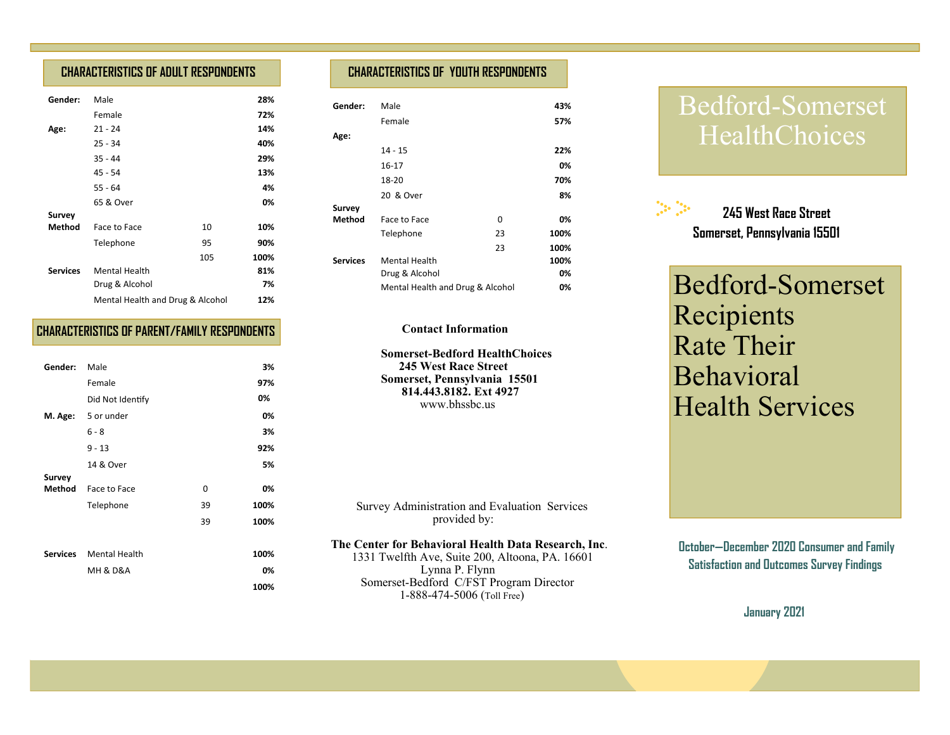## **CHARACTERISTICS OF ADULT RESPONDENTS**

| Gender:         | Male                             |     | 28%  |  |
|-----------------|----------------------------------|-----|------|--|
|                 | Female                           |     | 72%  |  |
| Age:            | $21 - 24$                        |     | 14%  |  |
|                 | $25 - 34$                        |     | 40%  |  |
|                 | $35 - 44$                        |     | 29%  |  |
|                 | $45 - 54$                        |     | 13%  |  |
|                 | $55 - 64$                        |     | 4%   |  |
|                 | 65 & Over                        |     | 0%   |  |
| <b>Survey</b>   |                                  |     |      |  |
| Method          | Face to Face                     | 10  | 10%  |  |
|                 | Telephone                        | 95  | 90%  |  |
|                 |                                  | 105 | 100% |  |
| <b>Services</b> | <b>Mental Health</b>             |     | 81%  |  |
|                 | Drug & Alcohol                   |     | 7%   |  |
|                 | Mental Health and Drug & Alcohol |     | 12%  |  |
|                 |                                  |     |      |  |

### **CHARACTERISTICS OF PARENT/FAMILY RESPONDENTS**

| Gender: | Male                   |    | 3%   |
|---------|------------------------|----|------|
|         | Female                 |    | 97%  |
|         | Did Not Identify       |    | 0%   |
|         | M. Age: 5 or under     |    | 0%   |
|         | $6 - 8$                |    | 3%   |
|         | $9 - 13$               |    | 92%  |
|         | 14 & Over              |    | 5%   |
| Survey  |                        |    |      |
| Method  | Face to Face           | 0  | 0%   |
|         | Telephone              | 39 | 100% |
|         |                        | 39 | 100% |
|         |                        |    |      |
|         | Services Mental Health |    | 100% |
|         | MH & D&A               |    | 0%   |
|         |                        |    | 100% |

## **CHARACTERISTICS OF YOUTH RESPONDENTS**

| Gender:         | Male                             |    | 43%  |
|-----------------|----------------------------------|----|------|
|                 | Female                           |    | 57%  |
| Age:            |                                  |    |      |
|                 | $14 - 15$                        |    | 22%  |
|                 | 16-17                            |    | 0%   |
|                 | 18-20                            |    | 70%  |
|                 | 20 & Over                        |    | 8%   |
| <b>Survey</b>   |                                  |    |      |
| Method          | Face to Face                     | 0  | 0%   |
|                 | Telephone                        | 23 | 100% |
|                 |                                  | 23 | 100% |
| <b>Services</b> | <b>Mental Health</b>             |    | 100% |
|                 | Drug & Alcohol                   |    |      |
|                 | Mental Health and Drug & Alcohol |    | 0%   |

#### **Contact Information**

 **Somerset-Bedford HealthChoices 245 West Race Street Somerset, Pennsylvania 15501 814.443.8182. Ext 4927**www.bhssbc.us

 Survey Administration and Evaluation Services provided by:

#### **The Center for Behavioral Health Data Research, Inc**.

 1331 Twelfth Ave, Suite 200, Altoona, PA. 16601 Lynna P. Flynn Somerset-Bedford C/FST Program Director 1-888-474-5006 (Toll Free)

# Bedford-Somerset HealthChoices



Bedford-Somerset Recipients Rate Their Behavioral Health Services

 **October—December 2020 Consumer and Family Satisfaction and Outcomes Survey Findings** 

**January 2021**